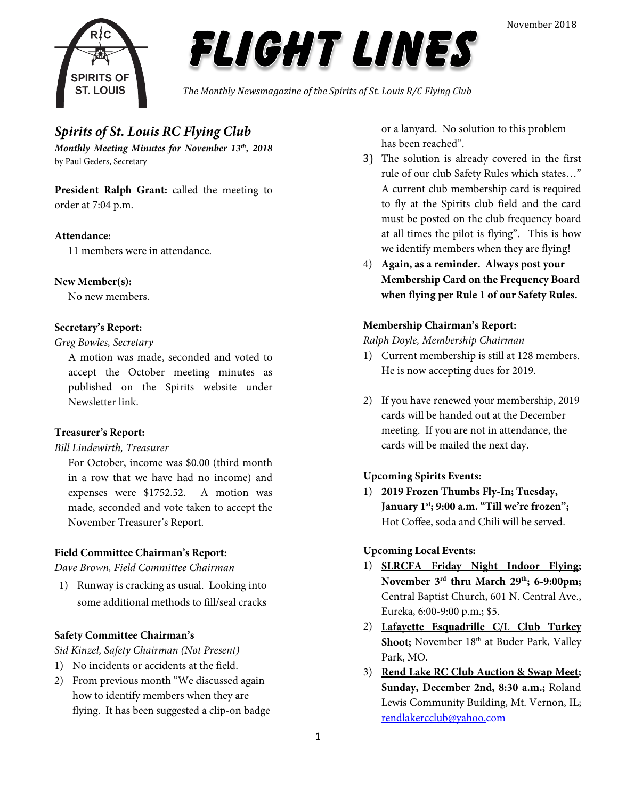



*The Monthly Newsmagazine of the Spirits of St. Louis R/C Flying Club*

### *Spirits of St. Louis RC Flying Club*

*Monthly Meeting Minutes for November 13th, 2018* by Paul Geders, Secretary

**President Ralph Grant:** called the meeting to order at 7:04 p.m.

### **Attendance:**

11 members were in attendance.

### **New Member(s):**

No new members.

### **Secretary's Report:**

#### *Greg Bowles, Secretary*

A motion was made, seconded and voted to accept the October meeting minutes as published on the Spirits website under Newsletter link.

### **Treasurer's Report:**

### *Bill Lindewirth, Treasurer*

For October, income was \$0.00 (third month in a row that we have had no income) and expenses were \$1752.52. A motion was made, seconded and vote taken to accept the November Treasurer's Report.

### **Field Committee Chairman's Report:**

*Dave Brown, Field Committee Chairman*

1) Runway is cracking as usual. Looking into some additional methods to fill/seal cracks

### **Safety Committee Chairman's**

*Sid Kinzel, Safety Chairman (Not Present)*

- 1) No incidents or accidents at the field.
- 2) From previous month "We discussed again how to identify members when they are flying. It has been suggested a clip-on badge

or a lanyard. No solution to this problem has been reached".

- 3) The solution is already covered in the first rule of our club Safety Rules which states…" A current club membership card is required to fly at the Spirits club field and the card must be posted on the club frequency board at all times the pilot is flying". This is how we identify members when they are flying!
- 4) **Again, as a reminder. Always post your Membership Card on the Frequency Board when flying per Rule 1 of our Safety Rules.**

### **Membership Chairman's Report:**

#### *Ralph Doyle, Membership Chairman*

- 1) Current membership is still at 128 members. He is now accepting dues for 2019.
- 2) If you have renewed your membership, 2019 cards will be handed out at the December meeting. If you are not in attendance, the cards will be mailed the next day.

### **Upcoming Spirits Events:**

1) **2019 Frozen Thumbs Fly-In; Tuesday, January 1st; 9:00 a.m. "Till we're frozen";**  Hot Coffee, soda and Chili will be served.

### **Upcoming Local Events:**

- 1) **SLRCFA Friday Night Indoor Flying; November 3rd thru March 29th; 6-9:00pm;** Central Baptist Church, 601 N. Central Ave., Eureka, 6:00-9:00 p.m.; \$5.
- 2) **Lafayette Esquadrille C/L Club Turkey**  Shoot; November 18<sup>th</sup> at Buder Park, Valley Park, MO.
- 3) **Rend Lake RC Club Auction & Swap Meet; Sunday, December 2nd, 8:30 a.m.;** Roland Lewis Community Building, Mt. Vernon, IL; [rendlakercclub@yahoo.com](mailto:rendlakercclub@yahoo.com)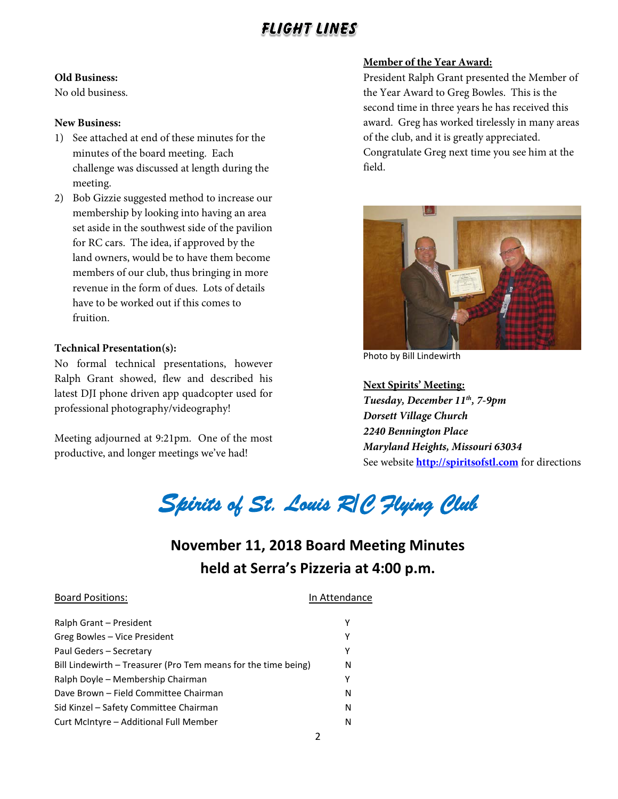### **Old Business:**

No old business.

### **New Business:**

- 1) See attached at end of these minutes for the minutes of the board meeting. Each challenge was discussed at length during the meeting.
- 2) Bob Gizzie suggested method to increase our membership by looking into having an area set aside in the southwest side of the pavilion for RC cars. The idea, if approved by the land owners, would be to have them become members of our club, thus bringing in more revenue in the form of dues. Lots of details have to be worked out if this comes to fruition.

### **Technical Presentation(s):**

No formal technical presentations, however Ralph Grant showed, flew and described his latest DJI phone driven app quadcopter used for professional photography/videography!

Meeting adjourned at 9:21pm. One of the most productive, and longer meetings we've had!

### **Member of the Year Award:**

President Ralph Grant presented the Member of the Year Award to Greg Bowles. This is the second time in three years he has received this award. Greg has worked tirelessly in many areas of the club, and it is greatly appreciated. Congratulate Greg next time you see him at the field.



Photo by Bill Lindewirth

**Next Spirits' Meeting:** *Tuesday, December 11th, 7-9pm Dorsett Village Church 2240 Bennington Place Maryland Heights, Missouri 63034* See website **[http://spiritsofstl.com](http://spiritsofstl.com/)** for directions

*Spirits of St. Louis R/C Flying Club* 

### **November 11, 2018 Board Meeting Minutes held at Serra's Pizzeria at 4:00 p.m.**

### Ralph Grant – President Y Greg Bowles – Vice President V Paul Geders – Secretary Y Bill Lindewirth – Treasurer (Pro Tem means for the time being) N Ralph Doyle – Membership Chairman Y Dave Brown – Field Committee Chairman N Sid Kinzel – Safety Committee Chairman N Curt McIntyre – Additional Full Member Number

Board Positions: **In Attendance**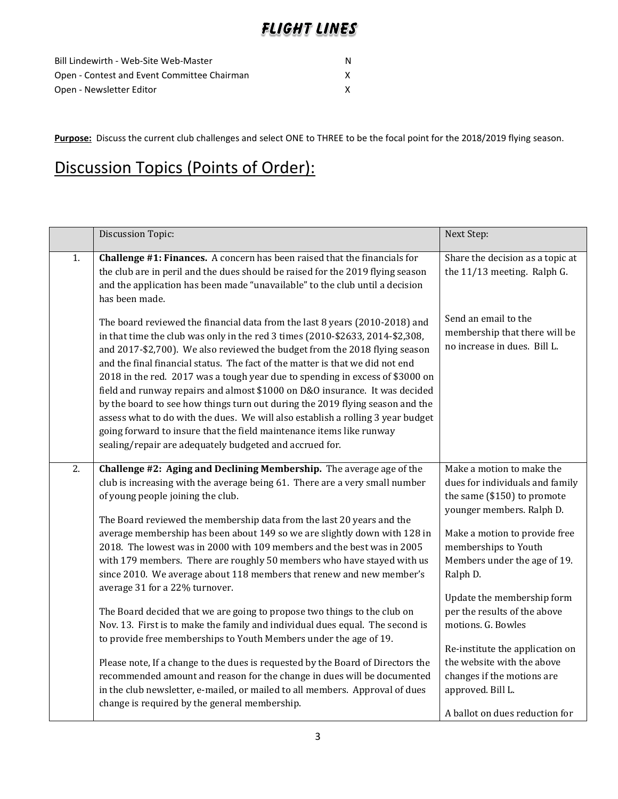| Bill Lindewirth - Web-Site Web-Master       |  |
|---------------------------------------------|--|
| Open - Contest and Event Committee Chairman |  |
| Open - Newsletter Editor                    |  |

**Purpose:** Discuss the current club challenges and select ONE to THREE to be the focal point for the 2018/2019 flying season.

# Discussion Topics (Points of Order):

|    | Discussion Topic:                                                                                                                                                                                                                                                                                                                                                                                                                                                                                                                                                                                                                                                                                                                                                                                                                                                                                                                                                                                                                                                                            | Next Step:                                                                                                                                                                                                                                                                                                                                                                                                                            |
|----|----------------------------------------------------------------------------------------------------------------------------------------------------------------------------------------------------------------------------------------------------------------------------------------------------------------------------------------------------------------------------------------------------------------------------------------------------------------------------------------------------------------------------------------------------------------------------------------------------------------------------------------------------------------------------------------------------------------------------------------------------------------------------------------------------------------------------------------------------------------------------------------------------------------------------------------------------------------------------------------------------------------------------------------------------------------------------------------------|---------------------------------------------------------------------------------------------------------------------------------------------------------------------------------------------------------------------------------------------------------------------------------------------------------------------------------------------------------------------------------------------------------------------------------------|
| 1. | Challenge #1: Finances. A concern has been raised that the financials for<br>the club are in peril and the dues should be raised for the 2019 flying season<br>and the application has been made "unavailable" to the club until a decision<br>has been made.                                                                                                                                                                                                                                                                                                                                                                                                                                                                                                                                                                                                                                                                                                                                                                                                                                | Share the decision as a topic at<br>the 11/13 meeting. Ralph G.                                                                                                                                                                                                                                                                                                                                                                       |
|    | The board reviewed the financial data from the last 8 years (2010-2018) and<br>in that time the club was only in the red 3 times (2010-\$2633, 2014-\$2,308,<br>and 2017-\$2,700). We also reviewed the budget from the 2018 flying season<br>and the final financial status. The fact of the matter is that we did not end<br>2018 in the red. 2017 was a tough year due to spending in excess of \$3000 on<br>field and runway repairs and almost \$1000 on D&O insurance. It was decided<br>by the board to see how things turn out during the 2019 flying season and the<br>assess what to do with the dues. We will also establish a rolling 3 year budget<br>going forward to insure that the field maintenance items like runway<br>sealing/repair are adequately budgeted and accrued for.                                                                                                                                                                                                                                                                                           | Send an email to the<br>membership that there will be<br>no increase in dues. Bill L.                                                                                                                                                                                                                                                                                                                                                 |
| 2. | Challenge #2: Aging and Declining Membership. The average age of the<br>club is increasing with the average being 61. There are a very small number<br>of young people joining the club.<br>The Board reviewed the membership data from the last 20 years and the<br>average membership has been about 149 so we are slightly down with 128 in<br>2018. The lowest was in 2000 with 109 members and the best was in 2005<br>with 179 members. There are roughly 50 members who have stayed with us<br>since 2010. We average about 118 members that renew and new member's<br>average 31 for a 22% turnover.<br>The Board decided that we are going to propose two things to the club on<br>Nov. 13. First is to make the family and individual dues equal. The second is<br>to provide free memberships to Youth Members under the age of 19.<br>Please note, If a change to the dues is requested by the Board of Directors the<br>recommended amount and reason for the change in dues will be documented<br>in the club newsletter, e-mailed, or mailed to all members. Approval of dues | Make a motion to make the<br>dues for individuals and family<br>the same (\$150) to promote<br>younger members. Ralph D.<br>Make a motion to provide free<br>memberships to Youth<br>Members under the age of 19.<br>Ralph D.<br>Update the membership form<br>per the results of the above<br>motions. G. Bowles<br>Re-institute the application on<br>the website with the above<br>changes if the motions are<br>approved. Bill L. |
|    | change is required by the general membership.                                                                                                                                                                                                                                                                                                                                                                                                                                                                                                                                                                                                                                                                                                                                                                                                                                                                                                                                                                                                                                                | A ballot on dues reduction for                                                                                                                                                                                                                                                                                                                                                                                                        |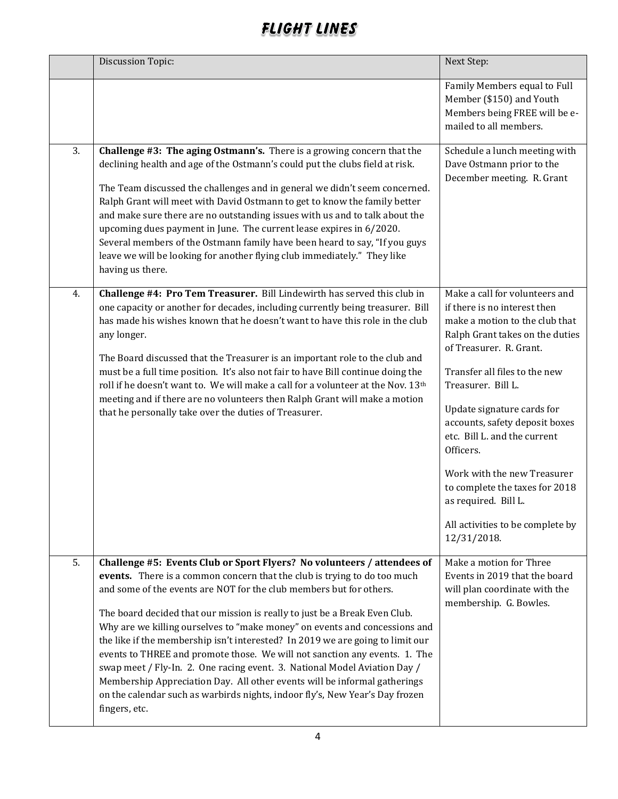|    | Discussion Topic:                                                                                                                                                                                                                                                                                                                                                                                                                                                                                                                                                                                                                                                                                                                                                                                                 | Next Step:                                                                                                                                                                                                                                                                                                                                                                                                                                                                     |
|----|-------------------------------------------------------------------------------------------------------------------------------------------------------------------------------------------------------------------------------------------------------------------------------------------------------------------------------------------------------------------------------------------------------------------------------------------------------------------------------------------------------------------------------------------------------------------------------------------------------------------------------------------------------------------------------------------------------------------------------------------------------------------------------------------------------------------|--------------------------------------------------------------------------------------------------------------------------------------------------------------------------------------------------------------------------------------------------------------------------------------------------------------------------------------------------------------------------------------------------------------------------------------------------------------------------------|
|    |                                                                                                                                                                                                                                                                                                                                                                                                                                                                                                                                                                                                                                                                                                                                                                                                                   | Family Members equal to Full<br>Member (\$150) and Youth<br>Members being FREE will be e-<br>mailed to all members.                                                                                                                                                                                                                                                                                                                                                            |
| 3. | Challenge #3: The aging Ostmann's. There is a growing concern that the<br>declining health and age of the Ostmann's could put the clubs field at risk.<br>The Team discussed the challenges and in general we didn't seem concerned.<br>Ralph Grant will meet with David Ostmann to get to know the family better<br>and make sure there are no outstanding issues with us and to talk about the<br>upcoming dues payment in June. The current lease expires in 6/2020.<br>Several members of the Ostmann family have been heard to say, "If you guys<br>leave we will be looking for another flying club immediately." They like<br>having us there.                                                                                                                                                             | Schedule a lunch meeting with<br>Dave Ostmann prior to the<br>December meeting. R. Grant                                                                                                                                                                                                                                                                                                                                                                                       |
| 4. | Challenge #4: Pro Tem Treasurer. Bill Lindewirth has served this club in<br>one capacity or another for decades, including currently being treasurer. Bill<br>has made his wishes known that he doesn't want to have this role in the club<br>any longer.<br>The Board discussed that the Treasurer is an important role to the club and<br>must be a full time position. It's also not fair to have Bill continue doing the<br>roll if he doesn't want to. We will make a call for a volunteer at the Nov. 13 <sup>th</sup><br>meeting and if there are no volunteers then Ralph Grant will make a motion<br>that he personally take over the duties of Treasurer.                                                                                                                                               | Make a call for volunteers and<br>if there is no interest then<br>make a motion to the club that<br>Ralph Grant takes on the duties<br>of Treasurer. R. Grant.<br>Transfer all files to the new<br>Treasurer. Bill L.<br>Update signature cards for<br>accounts, safety deposit boxes<br>etc. Bill L. and the current<br>Officers.<br>Work with the new Treasurer<br>to complete the taxes for 2018<br>as required. Bill L.<br>All activities to be complete by<br>12/31/2018. |
| 5. | Challenge #5: Events Club or Sport Flyers? No volunteers / attendees of<br>events. There is a common concern that the club is trying to do too much<br>and some of the events are NOT for the club members but for others.<br>The board decided that our mission is really to just be a Break Even Club.<br>Why are we killing ourselves to "make money" on events and concessions and<br>the like if the membership isn't interested? In 2019 we are going to limit our<br>events to THREE and promote those. We will not sanction any events. 1. The<br>swap meet / Fly-In. 2. One racing event. 3. National Model Aviation Day /<br>Membership Appreciation Day. All other events will be informal gatherings<br>on the calendar such as warbirds nights, indoor fly's, New Year's Day frozen<br>fingers, etc. | Make a motion for Three<br>Events in 2019 that the board<br>will plan coordinate with the<br>membership. G. Bowles.                                                                                                                                                                                                                                                                                                                                                            |